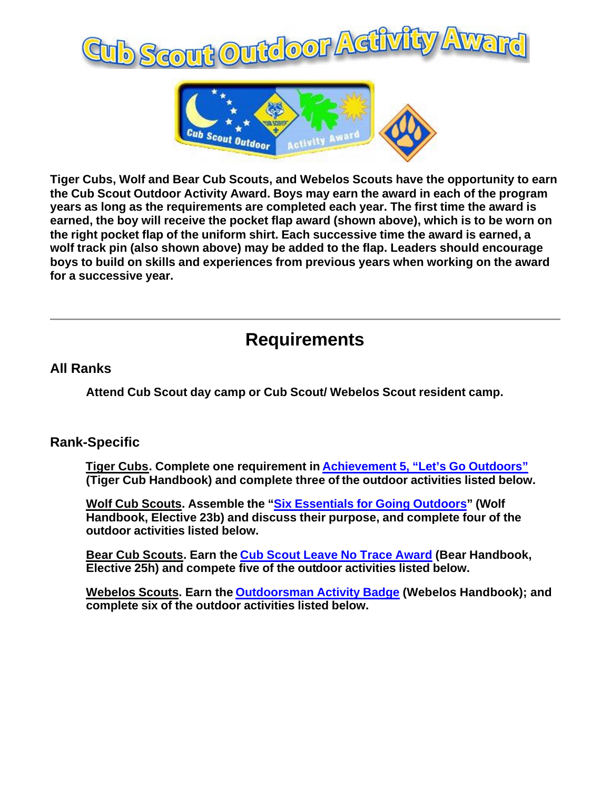



**Tiger Cubs, Wolf and Bear Cub Scouts, and Webelos Scouts have the opportunity to earn the Cub Scout Outdoor Activity Award. Boys may earn the award in each of the program years as long as the requirements are completed each year. The first time the award is earned, the boy will receive the pocket flap award (shown above), which is to be worn on the right pocket flap of the uniform shirt. Each successive time the award is earned, a wolf track pin (also shown above) may be added to the flap. Leaders should encourage boys to build on skills and experiences from previous years when working on the award for a successive year.** 

## **Requirements**

## **All Ranks**

**Attend Cub Scout day camp or Cub Scout/ Webelos Scout resident camp.**

## **Rank-Specific**

 **Tiger Cubs. Complete one requirement in Achievement 5, "Let's Go Outdoors" (Tiger Cub Handbook) and complete three of the outdoor activities listed below.** 

 **Wolf Cub Scouts. Assemble the "Six Essentials for Going Outdoors" (Wolf Handbook, Elective 23b) and discuss their purpose, and complete four of the outdoor activities listed below.** 

 **Bear Cub Scouts. Earn the Cub Scout Leave No Trace Award (Bear Handbook, Elective 25h) and compete five of the outdoor activities listed below.** 

 **Webelos Scouts. Earn the Outdoorsman Activity Badge (Webelos Handbook); and complete six of the outdoor activities listed below.**